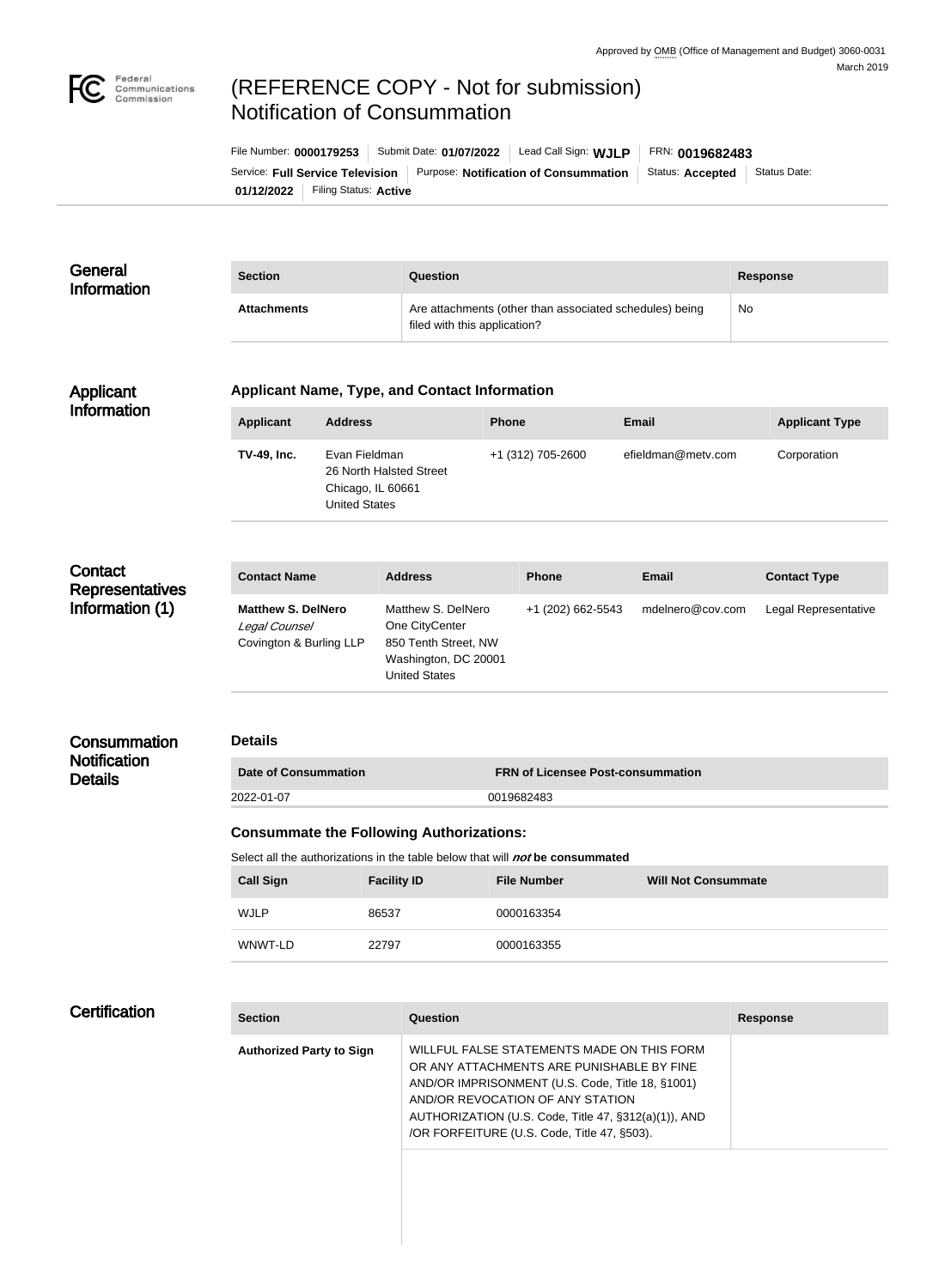

## (REFERENCE COPY - Not for submission) Notification of Consummation

**01/12/2022** Filing Status: **Active** Service: Full Service Television | Purpose: Notification of Consummation | Status: Accepted | Status Date: File Number: **0000179253** Submit Date: **01/07/2022** Lead Call Sign: **WJLP** FRN: **0019682483**

| General<br><b>Information</b>                        | <b>Section</b>                                                                       |                                                                                       | Question                                                                                                     |                                                  |                    | <b>Response</b>       |  |
|------------------------------------------------------|--------------------------------------------------------------------------------------|---------------------------------------------------------------------------------------|--------------------------------------------------------------------------------------------------------------|--------------------------------------------------|--------------------|-----------------------|--|
|                                                      | <b>Attachments</b>                                                                   |                                                                                       | Are attachments (other than associated schedules) being<br>filed with this application?                      |                                                  |                    | No                    |  |
| Applicant                                            | <b>Applicant Name, Type, and Contact Information</b>                                 |                                                                                       |                                                                                                              |                                                  |                    |                       |  |
| <b>Information</b>                                   | <b>Applicant</b>                                                                     | <b>Address</b>                                                                        |                                                                                                              | Phone                                            | <b>Email</b>       | <b>Applicant Type</b> |  |
|                                                      | <b>TV-49, Inc.</b>                                                                   | Evan Fieldman<br>26 North Halsted Street<br>Chicago, IL 60661<br><b>United States</b> |                                                                                                              | +1 (312) 705-2600                                | efieldman@metv.com | Corporation           |  |
|                                                      |                                                                                      |                                                                                       |                                                                                                              |                                                  |                    |                       |  |
| Contact<br><b>Representatives</b><br>Information (1) | <b>Contact Name</b>                                                                  |                                                                                       | <b>Address</b>                                                                                               | <b>Phone</b>                                     | <b>Email</b>       | <b>Contact Type</b>   |  |
|                                                      | <b>Matthew S. DelNero</b><br>Legal Counsel<br>Covington & Burling LLP                |                                                                                       | Matthew S. DelNero<br>One CityCenter<br>850 Tenth Street, NW<br>Washington, DC 20001<br><b>United States</b> | +1 (202) 662-5543                                | mdelnero@cov.com   | Legal Representative  |  |
| Consummation                                         | <b>Details</b>                                                                       |                                                                                       |                                                                                                              |                                                  |                    |                       |  |
| <b>Notification</b><br><b>Details</b>                | <b>Date of Consummation</b>                                                          |                                                                                       |                                                                                                              | <b>FRN of Licensee Post-consummation</b>         |                    |                       |  |
|                                                      | 2022-01-07<br>0019682483                                                             |                                                                                       |                                                                                                              |                                                  |                    |                       |  |
|                                                      | <b>Consummate the Following Authorizations:</b>                                      |                                                                                       |                                                                                                              |                                                  |                    |                       |  |
|                                                      | Select all the authorizations in the table below that will <i>not</i> be consummated |                                                                                       |                                                                                                              |                                                  |                    |                       |  |
|                                                      | <b>Call Sign</b>                                                                     | <b>Facility ID</b>                                                                    |                                                                                                              | <b>File Number</b><br><b>Will Not Consummate</b> |                    |                       |  |
|                                                      | <b>WJLP</b>                                                                          | 86537                                                                                 |                                                                                                              | 0000163354                                       |                    |                       |  |
|                                                      | WNWT-LD                                                                              | 22797                                                                                 |                                                                                                              | 0000163355                                       |                    |                       |  |

| <b>Section</b>                  | Question                                                                                                                                                                                                                                                                               | <b>Response</b> |
|---------------------------------|----------------------------------------------------------------------------------------------------------------------------------------------------------------------------------------------------------------------------------------------------------------------------------------|-----------------|
| <b>Authorized Party to Sign</b> | WILLFUL FALSE STATEMENTS MADE ON THIS FORM<br>OR ANY ATTACHMENTS ARE PUNISHABLE BY FINE<br>AND/OR IMPRISONMENT (U.S. Code, Title 18, §1001)<br>AND/OR REVOCATION OF ANY STATION<br>AUTHORIZATION (U.S. Code, Title 47, §312(a)(1)), AND<br>/OR FORFEITURE (U.S. Code, Title 47, §503). |                 |
|                                 |                                                                                                                                                                                                                                                                                        |                 |